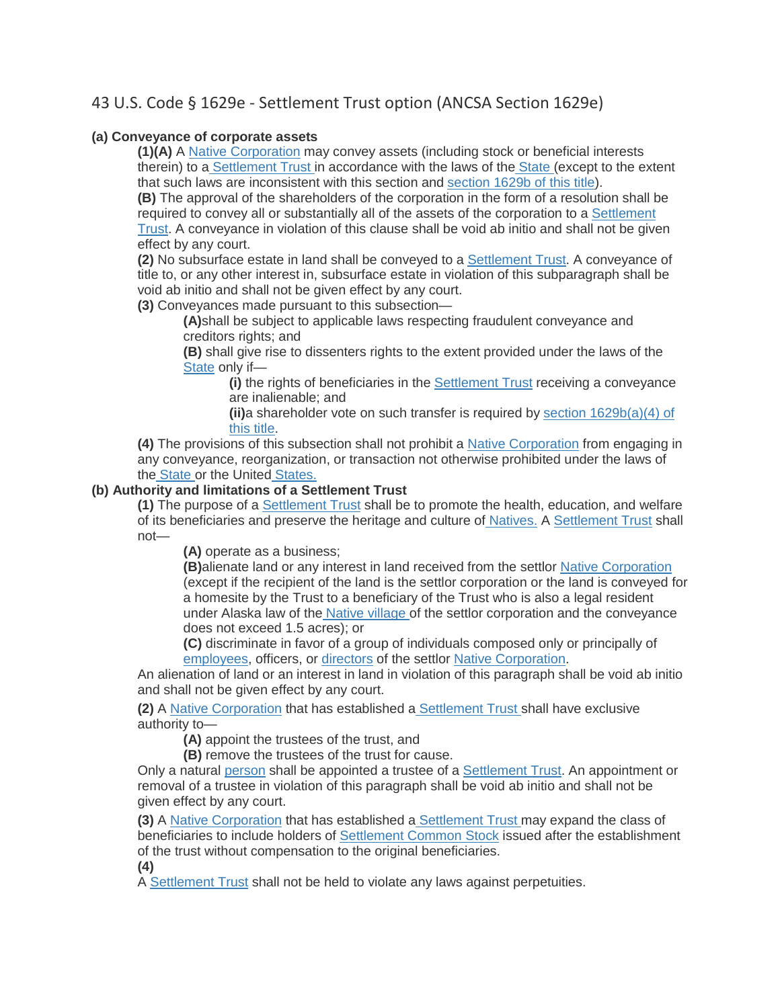## 43 U.S. Code § 1629e - Settlement Trust option (ANCSA Section 1629e)

## **(a) Conveyance of corporate assets**

**(1)(A)** A [Native Corporation](https://www.law.cornell.edu/definitions/uscode.php?width=840&height=800&iframe=true&def_id=43-USC-962488961-1555187853&term_occur=168&term_src=title:43:chapter:33:section:1629e) may convey assets (including stock or beneficial interests therein) to a [Settlement Trust i](https://www.law.cornell.edu/definitions/uscode.php?width=840&height=800&iframe=true&def_id=43-USC-1471147169-966182912&term_occur=10&term_src=title:43:chapter:33:section:1629e)n accordance with the laws of the [State \(](https://www.law.cornell.edu/definitions/uscode.php?width=840&height=800&iframe=true&def_id=43-USC-80204913-1555187860&term_occur=372&term_src=title:43:chapter:33:section:1629e)except to the extent that such laws are inconsistent with this section and [section 1629b of this title\)](https://www.law.cornell.edu/uscode/text/43/1629b).

**(B)** The approval of the shareholders of the corporation in the form of a resolution shall be required to convey all or substantially all of the assets of the corporation to a [Settlement](https://www.law.cornell.edu/definitions/uscode.php?width=840&height=800&iframe=true&def_id=43-USC-1471147169-966182912&term_occur=11&term_src=title:43:chapter:33:section:1629e)  [Trust.](https://www.law.cornell.edu/definitions/uscode.php?width=840&height=800&iframe=true&def_id=43-USC-1471147169-966182912&term_occur=11&term_src=title:43:chapter:33:section:1629e) A conveyance in violation of this clause shall be void ab initio and shall not be given effect by any court.

**(2)** No subsurface estate in land shall be conveyed to a [Settlement Trust.](https://www.law.cornell.edu/definitions/uscode.php?width=840&height=800&iframe=true&def_id=43-USC-1471147169-966182912&term_occur=12&term_src=title:43:chapter:33:section:1629e) A conveyance of title to, or any other interest in, subsurface estate in violation of this subparagraph shall be void ab initio and shall not be given effect by any court.

**(3)** Conveyances made pursuant to this subsection—

**(A)**shall be subject to applicable laws respecting fraudulent conveyance and creditors rights; and

**(B)** shall give rise to dissenters rights to the extent provided under the laws of the [State](https://www.law.cornell.edu/definitions/uscode.php?width=840&height=800&iframe=true&def_id=43-USC-80204913-1555187860&term_occur=373&term_src=title:43:chapter:33:section:1629e) only if—

**(i)** the rights of beneficiaries in the [Settlement](https://www.law.cornell.edu/definitions/uscode.php?width=840&height=800&iframe=true&def_id=43-USC-1471147169-966182912&term_occur=13&term_src=title:43:chapter:33:section:1629e) Trust receiving a conveyance are inalienable; and

**(ii)**a shareholder vote on such transfer is required by [section 1629b\(a\)\(4\) of](https://www.law.cornell.edu/uscode/text/43/1629b#a_4)  [this title.](https://www.law.cornell.edu/uscode/text/43/1629b#a_4)

**(4)** The provisions of this subsection shall not prohibit a [Native Corporation](https://www.law.cornell.edu/definitions/uscode.php?width=840&height=800&iframe=true&def_id=43-USC-962488961-1555187853&term_occur=169&term_src=title:43:chapter:33:section:1629e) from engaging in any conveyance, reorganization, or transaction not otherwise prohibited under the laws of the [State o](https://www.law.cornell.edu/definitions/uscode.php?width=840&height=800&iframe=true&def_id=43-USC-80204913-1555187860&term_occur=374&term_src=title:43:chapter:33:section:1629e)r the United [States.](https://www.law.cornell.edu/definitions/uscode.php?width=840&height=800&iframe=true&def_id=43-USC-80204913-1555187860&term_occur=375&term_src=title:43:chapter:33:section:1629e)

## **(b) Authority and limitations of a Settlement Trust**

**(1)** The purpose of a [Settlement Trust](https://www.law.cornell.edu/definitions/uscode.php?width=840&height=800&iframe=true&def_id=43-USC-1471147169-966182912&term_occur=14&term_src=title:43:chapter:33:section:1629e) shall be to promote the health, education, and welfare of its beneficiaries and preserve the heritage and culture of [Natives.](https://www.law.cornell.edu/definitions/uscode.php?width=840&height=800&iframe=true&def_id=43-USC-1968751561-1555187864&term_occur=291&term_src=title:43:chapter:33:section:1629e) A [Settlement Trust](https://www.law.cornell.edu/definitions/uscode.php?width=840&height=800&iframe=true&def_id=43-USC-1471147169-966182912&term_occur=15&term_src=title:43:chapter:33:section:1629e) shall not—

**(A)** operate as a business;

**(B)**alienate land or any interest in land received from the settlor [Native Corporation](https://www.law.cornell.edu/definitions/uscode.php?width=840&height=800&iframe=true&def_id=43-USC-962488961-1555187853&term_occur=170&term_src=title:43:chapter:33:section:1629e) (except if the recipient of the land is the settlor corporation or the land is conveyed for a homesite by the Trust to a beneficiary of the Trust who is also a legal resident under Alaska law of the [Native village o](https://www.law.cornell.edu/definitions/uscode.php?width=840&height=800&iframe=true&def_id=43-USC-269134397-1555187863&term_occur=43&term_src=title:43:chapter:33:section:1629e)f the settlor corporation and the conveyance does not exceed 1.5 acres); or

**(C)** discriminate in favor of a group of individuals composed only or principally of [employees,](https://www.law.cornell.edu/definitions/uscode.php?width=840&height=800&iframe=true&def_id=43-USC-1193469614-1832350778&term_occur=254&term_src=title:43:chapter:33:section:1629e) officers, or [directors](https://www.law.cornell.edu/definitions/uscode.php?width=840&height=800&iframe=true&def_id=43-USC-310687660-464062972&term_occur=119&term_src=title:43:chapter:33:section:1629e) of the settlor [Native Corporation.](https://www.law.cornell.edu/definitions/uscode.php?width=840&height=800&iframe=true&def_id=43-USC-962488961-1555187853&term_occur=171&term_src=title:43:chapter:33:section:1629e)

An alienation of land or an interest in land in violation of this paragraph shall be void ab initio and shall not be given effect by any court.

**(2)** A [Native Corporation](https://www.law.cornell.edu/definitions/uscode.php?width=840&height=800&iframe=true&def_id=43-USC-962488961-1555187853&term_occur=172&term_src=title:43:chapter:33:section:1629e) that has established a [Settlement Trust s](https://www.law.cornell.edu/definitions/uscode.php?width=840&height=800&iframe=true&def_id=43-USC-1471147169-966182912&term_occur=16&term_src=title:43:chapter:33:section:1629e)hall have exclusive authority to—

**(A)** appoint the trustees of the trust, and

**(B)** remove the trustees of the trust for cause.

Only a natural [person](https://www.law.cornell.edu/definitions/uscode.php?width=840&height=800&iframe=true&def_id=43-USC-1907849355-1555187858&term_occur=51&term_src=title:43:chapter:33:section:1629e) shall be appointed a trustee of a [Settlement Trust.](https://www.law.cornell.edu/definitions/uscode.php?width=840&height=800&iframe=true&def_id=43-USC-1471147169-966182912&term_occur=17&term_src=title:43:chapter:33:section:1629e) An appointment or removal of a trustee in violation of this paragraph shall be void ab initio and shall not be given effect by any court.

**(3)** A [Native Corporation](https://www.law.cornell.edu/definitions/uscode.php?width=840&height=800&iframe=true&def_id=43-USC-962488961-1555187853&term_occur=173&term_src=title:43:chapter:33:section:1629e) that has established a [Settlement](https://www.law.cornell.edu/definitions/uscode.php?width=840&height=800&iframe=true&def_id=43-USC-1471147169-966182912&term_occur=18&term_src=title:43:chapter:33:section:1629e) Trust may expand the class of beneficiaries to include holders of [Settlement Common Stock](https://www.law.cornell.edu/definitions/uscode.php?width=840&height=800&iframe=true&def_id=43-USC-252295656-1555187850&term_occur=83&term_src=title:43:chapter:33:section:1629e) issued after the establishment of the trust without compensation to the original beneficiaries.

**(4)**

A [Settlement Trust](https://www.law.cornell.edu/definitions/uscode.php?width=840&height=800&iframe=true&def_id=43-USC-1471147169-966182912&term_occur=19&term_src=title:43:chapter:33:section:1629e) shall not be held to violate any laws against perpetuities.